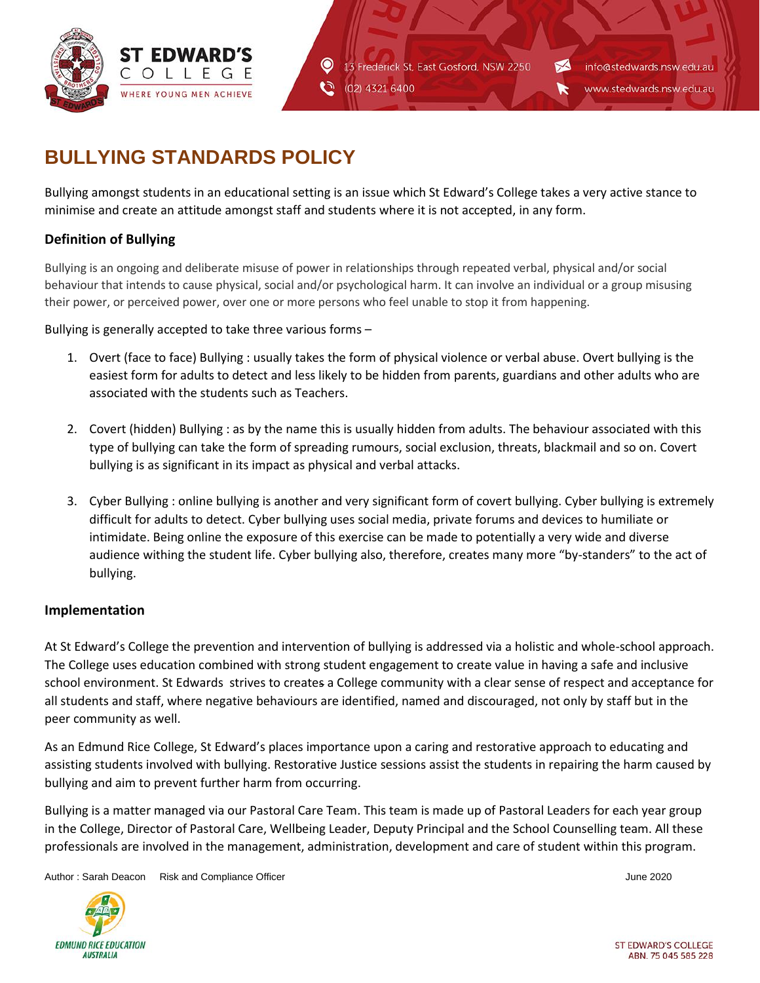

13 Frederick St, East Gosford, NSW 2250 (02) 4321 6400

info@stedwards.nsw.edu.au

www.stedwards.nsw.edu.au

## **BULLYING STANDARDS POLICY**

Bullying amongst students in an educational setting is an issue which St Edward's College takes a very active stance to minimise and create an attitude amongst staff and students where it is not accepted, in any form.

 $\boldsymbol{\mathsf{\Theta}}$ 

Ć٦

## **Definition of Bullying**

Bullying is an ongoing and deliberate misuse of power in relationships through repeated verbal, physical and/or social behaviour that intends to cause physical, social and/or psychological harm. It can involve an individual or a group misusing their power, or perceived power, over one or more persons who feel unable to stop it from happening.

Bullying is generally accepted to take three various forms –

- 1. Overt (face to face) Bullying : usually takes the form of physical violence or verbal abuse. Overt bullying is the easiest form for adults to detect and less likely to be hidden from parents, guardians and other adults who are associated with the students such as Teachers.
- 2. Covert (hidden) Bullying : as by the name this is usually hidden from adults. The behaviour associated with this type of bullying can take the form of spreading rumours, social exclusion, threats, blackmail and so on. Covert bullying is as significant in its impact as physical and verbal attacks.
- 3. Cyber Bullying : online bullying is another and very significant form of covert bullying. Cyber bullying is extremely difficult for adults to detect. Cyber bullying uses social media, private forums and devices to humiliate or intimidate. Being online the exposure of this exercise can be made to potentially a very wide and diverse audience withing the student life. Cyber bullying also, therefore, creates many more "by-standers" to the act of bullying.

## **Implementation**

At St Edward's College the prevention and intervention of bullying is addressed via a holistic and whole-school approach. The College uses education combined with strong student engagement to create value in having a safe and inclusive school environment. St Edwards strives to creates a College community with a clear sense of respect and acceptance for all students and staff, where negative behaviours are identified, named and discouraged, not only by staff but in the peer community as well.

As an Edmund Rice College, St Edward's places importance upon a caring and restorative approach to educating and assisting students involved with bullying. Restorative Justice sessions assist the students in repairing the harm caused by bullying and aim to prevent further harm from occurring.

Bullying is a matter managed via our Pastoral Care Team. This team is made up of Pastoral Leaders for each year group in the College, Director of Pastoral Care, Wellbeing Leader, Deputy Principal and the School Counselling team. All these professionals are involved in the management, administration, development and care of student within this program.

Author : Sarah Deacon Risk and Compliance Officer June 2020 **June 2020**